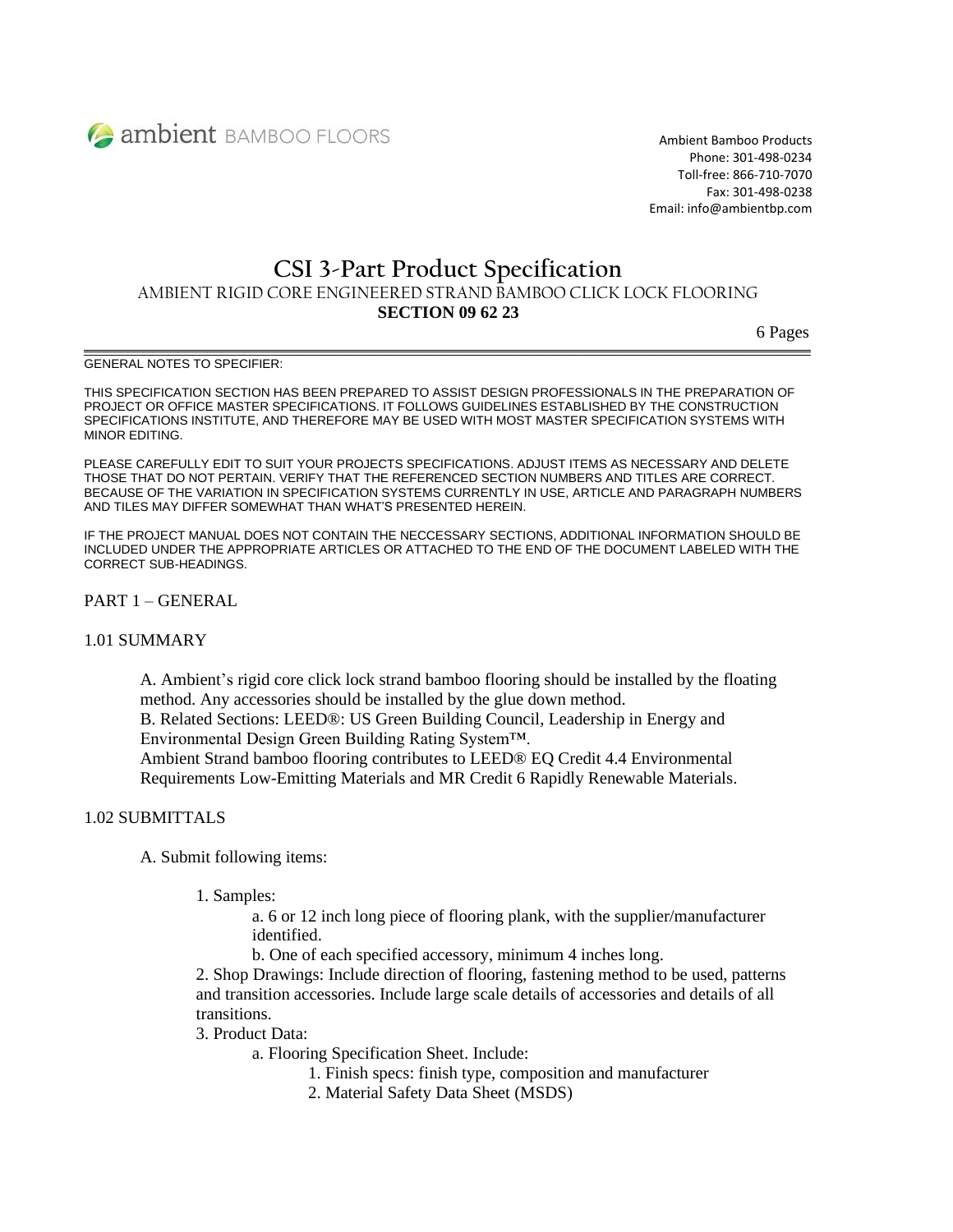

Ambient Bamboo Products Phone: 301-498-0234 Toll-free: 866-710-7070 Fax: 301-498-0238 Email: info@ambientbp.com

# **CSI 3-Part Product Specification** AMBIENT RIGID CORE ENGINEERED STRAND BAMBOO CLICK LOCK FLOORING

#### **SECTION 09 62 23**

 $\mathcal{L} = \{ \mathcal{L} = \{ \mathcal{L} = \mathcal{L} \}$ 

6 Pages

#### GENERAL NOTES TO SPECIFIER:

THIS SPECIFICATION SECTION HAS BEEN PREPARED TO ASSIST DESIGN PROFESSIONALS IN THE PREPARATION OF PROJECT OR OFFICE MASTER SPECIFICATIONS. IT FOLLOWS GUIDELINES ESTABLISHED BY THE CONSTRUCTION SPECIFICATIONS INSTITUTE, AND THEREFORE MAY BE USED WITH MOST MASTER SPECIFICATION SYSTEMS WITH MINOR EDITING.

PLEASE CAREFULLY EDIT TO SUIT YOUR PROJECTS SPECIFICATIONS. ADJUST ITEMS AS NECESSARY AND DELETE THOSE THAT DO NOT PERTAIN. VERIFY THAT THE REFERENCED SECTION NUMBERS AND TITLES ARE CORRECT. BECAUSE OF THE VARIATION IN SPECIFICATION SYSTEMS CURRENTLY IN USE, ARTICLE AND PARAGRAPH NUMBERS AND TILES MAY DIFFER SOMEWHAT THAN WHAT'S PRESENTED HEREIN.

IF THE PROJECT MANUAL DOES NOT CONTAIN THE NECCESSARY SECTIONS, ADDITIONAL INFORMATION SHOULD BE INCLUDED UNDER THE APPROPRIATE ARTICLES OR ATTACHED TO THE END OF THE DOCUMENT LABELED WITH THE CORRECT SUB-HEADINGS.

PART 1 – GENERAL

# 1.01 SUMMARY

A. Ambient's rigid core click lock strand bamboo flooring should be installed by the floating method. Any accessories should be installed by the glue down method.

B. Related Sections: LEED®: US Green Building Council, Leadership in Energy and Environmental Design Green Building Rating System™.

Ambient Strand bamboo flooring contributes to LEED® EQ Credit 4.4 Environmental Requirements Low-Emitting Materials and MR Credit 6 Rapidly Renewable Materials.

#### 1.02 SUBMITTALS

A. Submit following items:

1. Samples:

a. 6 or 12 inch long piece of flooring plank, with the supplier/manufacturer identified.

b. One of each specified accessory, minimum 4 inches long.

2. Shop Drawings: Include direction of flooring, fastening method to be used, patterns and transition accessories. Include large scale details of accessories and details of all transitions.

3. Product Data:

a. Flooring Specification Sheet. Include:

- 1. Finish specs: finish type, composition and manufacturer
- 2. Material Safety Data Sheet (MSDS)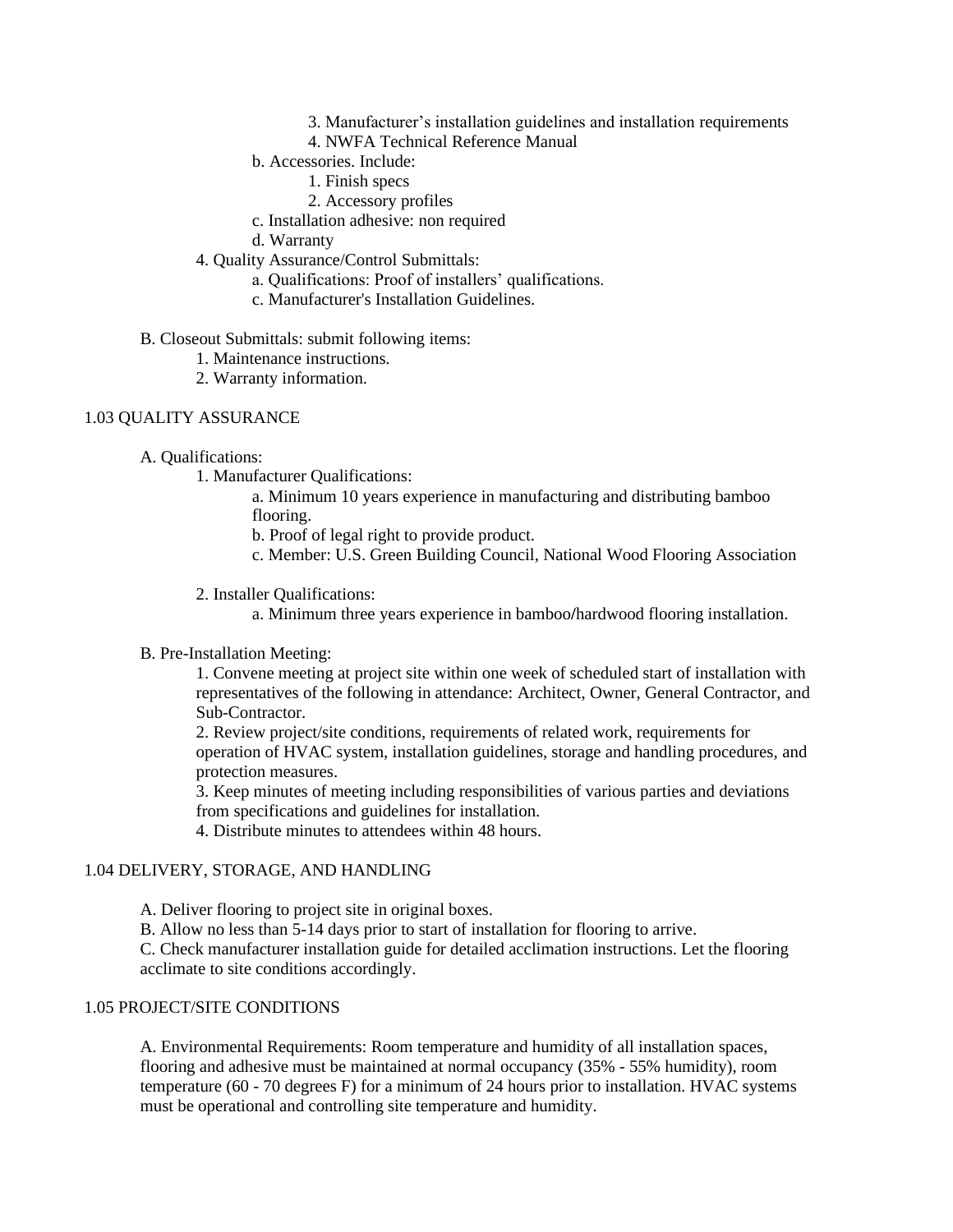- 3. Manufacturer's installation guidelines and installation requirements
- 4. NWFA Technical Reference Manual
- b. Accessories. Include:
	- 1. Finish specs
	- 2. Accessory profiles
- c. Installation adhesive: non required
- d. Warranty
- 4. Quality Assurance/Control Submittals:
	- a. Qualifications: Proof of installers' qualifications.
	- c. Manufacturer's Installation Guidelines.
- B. Closeout Submittals: submit following items:
	- 1. Maintenance instructions.
	- 2. Warranty information.

#### 1.03 QUALITY ASSURANCE

#### A. Qualifications:

1. Manufacturer Qualifications:

a. Minimum 10 years experience in manufacturing and distributing bamboo flooring.

b. Proof of legal right to provide product.

c. Member: U.S. Green Building Council, National Wood Flooring Association

#### 2. Installer Qualifications:

a. Minimum three years experience in bamboo**/**hardwood flooring installation.

#### B. Pre-Installation Meeting:

1. Convene meeting at project site within one week of scheduled start of installation with representatives of the following in attendance: Architect, Owner, General Contractor, and Sub-Contractor.

2. Review project/site conditions, requirements of related work, requirements for operation of HVAC system, installation guidelines, storage and handling procedures, and protection measures.

3. Keep minutes of meeting including responsibilities of various parties and deviations from specifications and guidelines for installation.

4. Distribute minutes to attendees within 48 hours.

#### 1.04 DELIVERY, STORAGE, AND HANDLING

A. Deliver flooring to project site in original boxes.

B. Allow no less than 5-14 days prior to start of installation for flooring to arrive.

C. Check manufacturer installation guide for detailed acclimation instructions. Let the flooring acclimate to site conditions accordingly.

# 1.05 PROJECT/SITE CONDITIONS

A. Environmental Requirements: Room temperature and humidity of all installation spaces, flooring and adhesive must be maintained at normal occupancy (35% - 55% humidity), room temperature (60 - 70 degrees F) for a minimum of 24 hours prior to installation. HVAC systems must be operational and controlling site temperature and humidity.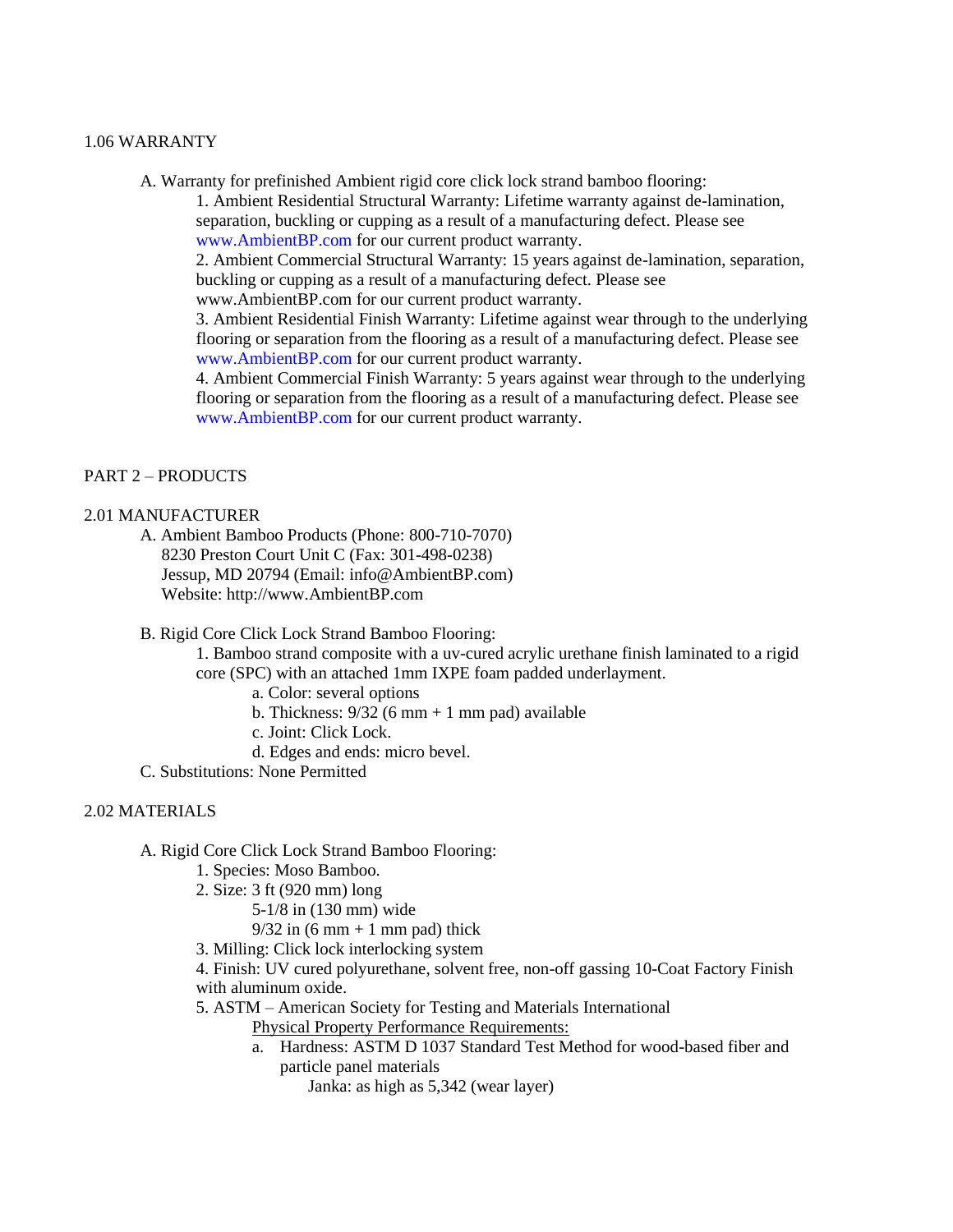# 1.06 WARRANTY

A. Warranty for prefinished Ambient rigid core click lock strand bamboo flooring:

1. Ambient Residential Structural Warranty: Lifetime warranty against de-lamination, separation, buckling or cupping as a result of a manufacturing defect. Please see www.AmbientBP.com for our current product warranty.

2. Ambient Commercial Structural Warranty: 15 years against de-lamination, separation, buckling or cupping as a result of a manufacturing defect. Please see www.AmbientBP.com for our current product warranty.

3. Ambient Residential Finish Warranty: Lifetime against wear through to the underlying flooring or separation from the flooring as a result of a manufacturing defect. Please see [www.AmbientB](http://www.ambient/)P.com for our current product warranty.

4. Ambient Commercial Finish Warranty: 5 years against wear through to the underlying flooring or separation from the flooring as a result of a manufacturing defect. Please see www.AmbientBP.com for our current product warranty.

# PART 2 – PRODUCTS

# 2.01 MANUFACTURER

A. Ambient Bamboo Products (Phone: 800-710-7070)

 8230 Preston Court Unit C (Fax: 301-498-0238) Jessup, MD 20794 (Email: info@AmbientBP.com) Website: http://www.AmbientBP.com

B. Rigid Core Click Lock Strand Bamboo Flooring:

1. Bamboo strand composite with a uv-cured acrylic urethane finish laminated to a rigid core (SPC) with an attached 1mm IXPE foam padded underlayment.

a. Color: several options

- b. Thickness:  $9/32(6 \text{ mm} + 1 \text{ mm pad})$  available
- c. Joint: Click Lock.
- d. Edges and ends: micro bevel.

C. Substitutions: None Permitted

# 2.02 MATERIALS

A. Rigid Core Click Lock Strand Bamboo Flooring:

- 1. Species: Moso Bamboo.
- 2. Size: 3 ft (920 mm) long
	- 5-1/8 in (130 mm) wide
	- $9/32$  in  $(6 \text{ mm} + 1 \text{ mm} \text{ pad})$  thick
- 3. Milling: Click lock interlocking system

4. Finish: UV cured polyurethane, solvent free, non-off gassing 10-Coat Factory Finish with aluminum oxide.

- 5. ASTM American Society for Testing and Materials International
	- Physical Property Performance Requirements:
	- a. Hardness: ASTM D 1037 Standard Test Method for wood-based fiber and particle panel materials

Janka: as high as 5,342 (wear layer)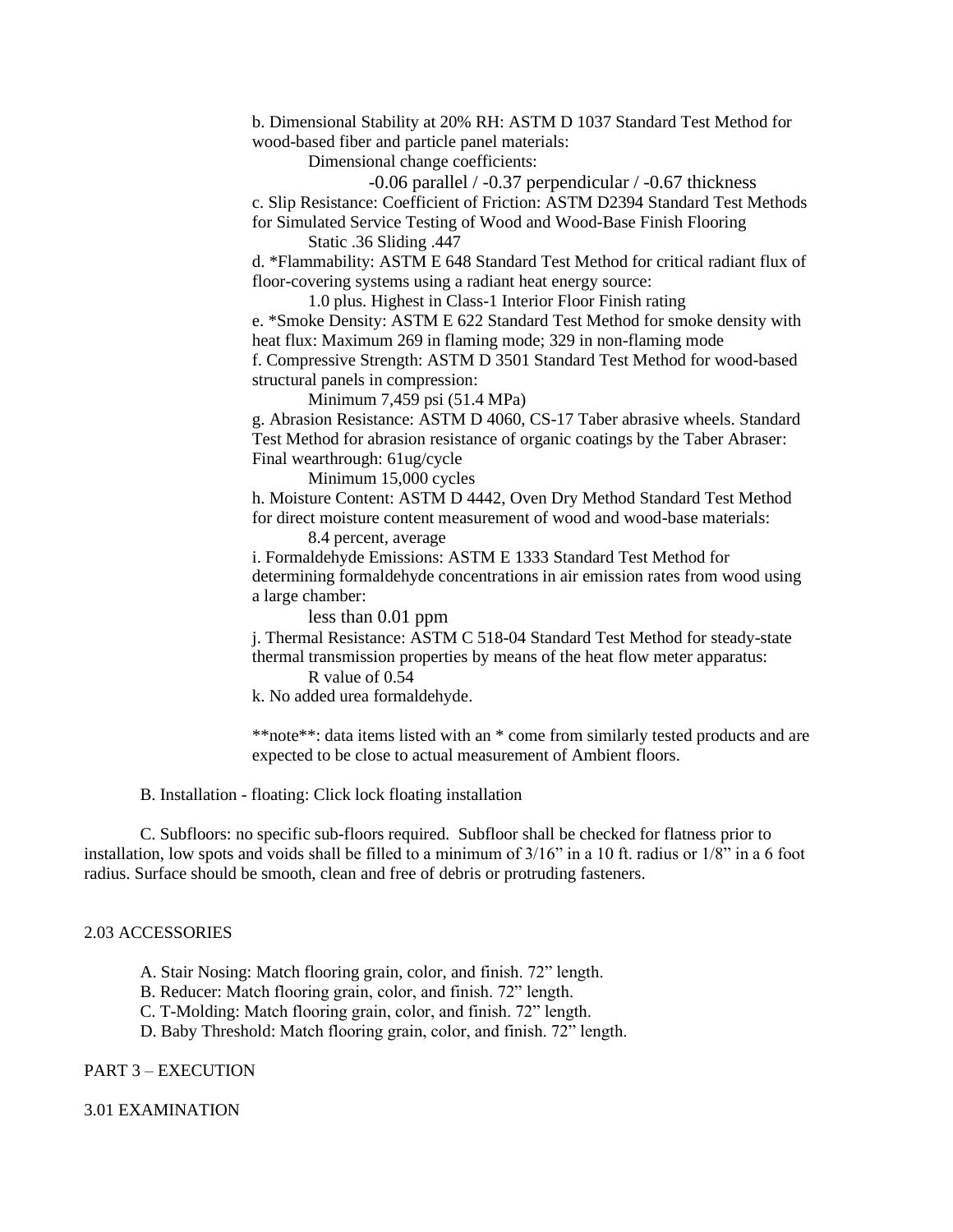b. Dimensional Stability at 20% RH: ASTM D 1037 Standard Test Method for wood-based fiber and particle panel materials:

Dimensional change coefficients:

-0.06 parallel / -0.37 perpendicular / -0.67 thickness c. Slip Resistance: Coefficient of Friction: ASTM D2394 Standard Test Methods for Simulated Service Testing of Wood and Wood-Base Finish Flooring

Static .36 Sliding .447

d. \*Flammability: ASTM E 648 Standard Test Method for critical radiant flux of floor-covering systems using a radiant heat energy source:

1.0 plus. Highest in Class-1 Interior Floor Finish rating

e. \*Smoke Density: ASTM E 622 Standard Test Method for smoke density with heat flux: Maximum 269 in flaming mode; 329 in non-flaming mode f. Compressive Strength: ASTM D 3501 Standard Test Method for wood-based structural panels in compression:

Minimum 7,459 psi (51.4 MPa)

g. Abrasion Resistance: ASTM D 4060, CS-17 Taber abrasive wheels. Standard Test Method for abrasion resistance of organic coatings by the Taber Abraser: Final wearthrough: 61ug/cycle

Minimum 15,000 cycles

h. Moisture Content: ASTM D 4442, Oven Dry Method Standard Test Method for direct moisture content measurement of wood and wood-base materials: 8.4 percent, average

i. Formaldehyde Emissions: ASTM E 1333 Standard Test Method for determining formaldehyde concentrations in air emission rates from wood using a large chamber:

less than 0.01 ppm

j. Thermal Resistance: ASTM C 518-04 Standard Test Method for steady-state thermal transmission properties by means of the heat flow meter apparatus:

R value of 0.54

k. No added urea formaldehyde.

\*\*note\*\*: data items listed with an \* come from similarly tested products and are expected to be close to actual measurement of Ambient floors.

B. Installation - floating: Click lock floating installation

C. Subfloors: no specific sub-floors required. Subfloor shall be checked for flatness prior to installation, low spots and voids shall be filled to a minimum of 3/16" in a 10 ft. radius or 1/8" in a 6 foot radius. Surface should be smooth, clean and free of debris or protruding fasteners.

#### 2.03 ACCESSORIES

A. Stair Nosing: Match flooring grain, color, and finish. 72" length.

B. Reducer: Match flooring grain, color, and finish. 72" length.

C. T-Molding: Match flooring grain, color, and finish. 72" length.

D. Baby Threshold: Match flooring grain, color, and finish. 72" length.

## PART 3 – EXECUTION

3.01 EXAMINATION